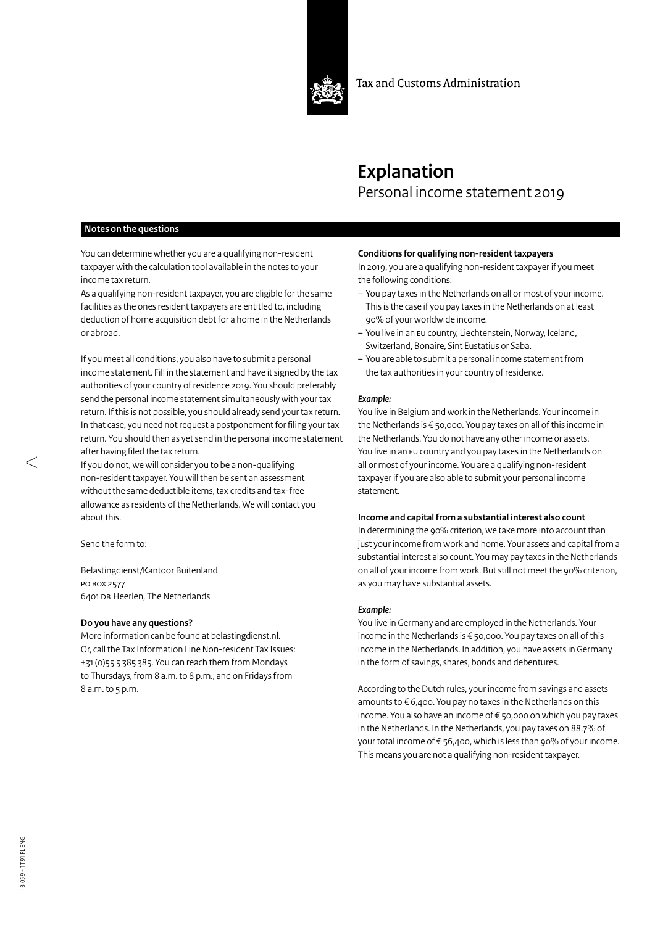

Tax and Customs Administration

# **Explanation** Personal income statement 2019

# **Notes on the questions**

You can determine whether you are a qualifying non-resident taxpayer with the calculation tool available in the notes to your income tax return.

As a qualifying non-resident taxpayer, you are eligible for the same facilities as the ones resident taxpayers are entitled to, including deduction of home acquisition debt for a home in the Netherlands or abroad.

If you meet all conditions, you also have to submit a personal income statement. Fill in the statement and have it signed by the tax authorities of your country of residence 2019. You should preferably send the personal income statement simultaneously with your tax return. If this is not possible, you should already send your tax return. In that case, you need not request a postponement for filing your tax return. You should then as yet send in the personal income statement after having filed the tax return.

If you do not, we will consider you to be a non-qualifying non-resident taxpayer. You will then be sent an assessment without the same deductible items, tax credits and tax-free allowance as residents of the Netherlands. We will contact you about this.

Send the form to:

Belastingdienst/Kantoor Buitenland PO BOX 2577 6401 DB Heerlen, The Netherlands

#### **Do you have any questions?**

More information can be found at belastingdienst.nl. Or,call the Tax Information Line Non-resident Tax Issues: +31(0)55 5 385 385. You can reach them from Mondays to Thursdays, from 8 a.m. to 8 p.m., and on Fridays from 8 a.m. to 5 p.m.

# **Conditions for qualifying non-resident taxpayers**

In 2019, you are a qualifying non-resident taxpayer if you meet the following conditions:

- You pay taxes in the Netherlands on all or most of your income. This is the case if you pay taxes in the Netherlands on at least 90% of your worldwide income.
- You live in an EU country, Liechtenstein, Norway, Iceland, Switzerland, Bonaire, Sint Eustatius or Saba.
- You are able to submit a personal income statement from the tax authorities in your country of residence.

#### *Example:*

You live in Belgium and work in the Netherlands. Your income in the Netherlands is € 50,000. You pay taxes on all of this income in the Netherlands. You do not have any other income or assets. You live in an EU country and you pay taxes in the Netherlands on all or most of your income. You are a qualifying non-resident taxpayer if you are also able to submit your personal income statement.

#### **Income and capital from a substantial interest also count**

In determining the 90% criterion, we take more into account than just your income from work and home. Your assets and capital from a substantial interest also count. You may pay taxes in the Netherlands on all of your income from work. But still not meet the 90% criterion, as you may have substantial assets.

#### *Example:*

You live in Germany and are employed in the Netherlands. Your income in the Netherlands is € 50,000. You pay taxes on all of this income in the Netherlands. In addition, you have assets in Germany in the form of savings, shares, bonds and debentures.

According to the Dutch rules, your income from savings and assets amounts to € 6,400. You pay no taxes in the Netherlands on this income. You also have an income of € 50,000 on which you pay taxes in the Netherlands. In the Netherlands, you pay taxes on 88.7% of your total income of € 56,400, which is less than 90% of your income. This means you are not a qualifying non-resident taxpayer.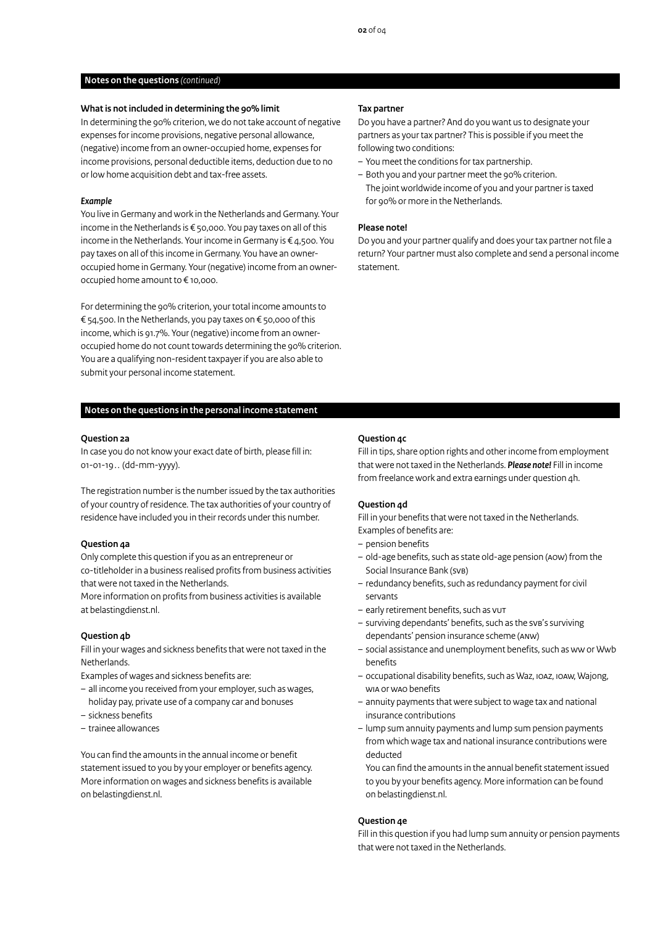### **Notes on the questions** *(continued)*

#### **What is not included in determining the 90% limit**

In determining the 90% criterion, we do not take account of negative expenses for income provisions, negative personal allowance, (negative) income from an owner-occupied home, expenses for income provisions, personal deductible items, deduction due to no or low home acquisition debt and tax-free assets.

## *Example*

You live in Germany and work in the Netherlands and Germany. Your income in the Netherlands is € 50,000. You pay taxes on all of this income in the Netherlands. Your income in Germany is € 4,500. You pay taxes on all of this income in Germany. You have an owneroccupied home in Germany. Your (negative) income from an owneroccupied home amount to € 10,000.

For determining the 90% criterion, your total income amounts to € 54,500. In the Netherlands, you pay taxes on € 50,000 of this income, which is 91.7%. Your (negative) income from an owneroccupied home do not count towards determining the 90% criterion. You are a qualifying non-resident taxpayer if you are also able to submit your personal income statement.

# **Notes on the questions in the personal income statement**

## **Question 2a**

In case you do not know your exact date of birth, please fill in: 01-01-19 . . (dd-mm-yyyy).

The registration number is the number issued by the tax authorities of your country of residence. The tax authorities of your country of residence have included you in their records under this number.

#### **Question 4a**

Only complete this question if you as an entrepreneur or co-titleholder in a business realised profits from business activities that were not taxed in the Netherlands.

More information on profits from business activities is available at belastingdienst.nl.

#### **Question 4b**

Fill in your wages and sickness benefits that were not taxed in the Netherlands.

Examples of wages and sickness benefits are:

- all income you received from your employer, such as wages, holiday pay, private use of a company car and bonuses
- sickness benefits
- trainee allowances

You can find the amounts in the annual income or benefit statement issued to you by your employer or benefits agency. More information on wages and sickness benefits is available on [belastingdienst.nl.](http://www.belastingdienst.nl/werk)

#### **Tax partner**

Do you have a partner? And do you want us to designate your partners as your tax partner? This is possible if you meet the following two conditions:

- You meet the conditions for tax partnership.
- Both you and your partner meet the 90% criterion. The joint worldwide income of you and your partner is taxed for 90% or more in the Netherlands.

#### **Please note!**

Do you and your partner qualify and does your tax partner not file a return? Your partner must also complete and send a personal income statement.

# **Question 4c**

Fill in tips, share option rights and other income from employment that were not taxed in the Netherlands. *Please note!* Fill in income from freelance work and extra earnings under question 4h.

#### **Question 4d**

Fill in your benefits that were not taxed in the Netherlands. Examples of benefits are:

- pension benefits
- old-age benefits, such as state old-age pension (AOW) from the Social Insurance Bank (SVB)
- redundancy benefits, such as redundancy payment for civil servants
- early retirement benefits, such as VUT
- surviving dependants' benefits, such as the SVB's surviving dependants' pension insurance scheme (ANW)
- social assistance and unemployment benefits, such as WW or Wwb benefits
- occupational disability benefits, such as Waz, IOAZ, IOAW, Wajong, WIA or WAO benefits
- annuity payments that were subject to wage tax and national insurance contributions
- lump sum annuity payments and lump sum pension payments from which wage tax and national insurance contributions were deducted
- You can find the amounts in the annual benefit statement issued to you by your benefits agency. More information can be found on belastingdienst.nl.

#### **Question 4e**

Fill in this question if you had lump sum annuity or pension payments that were not taxed in the Netherlands.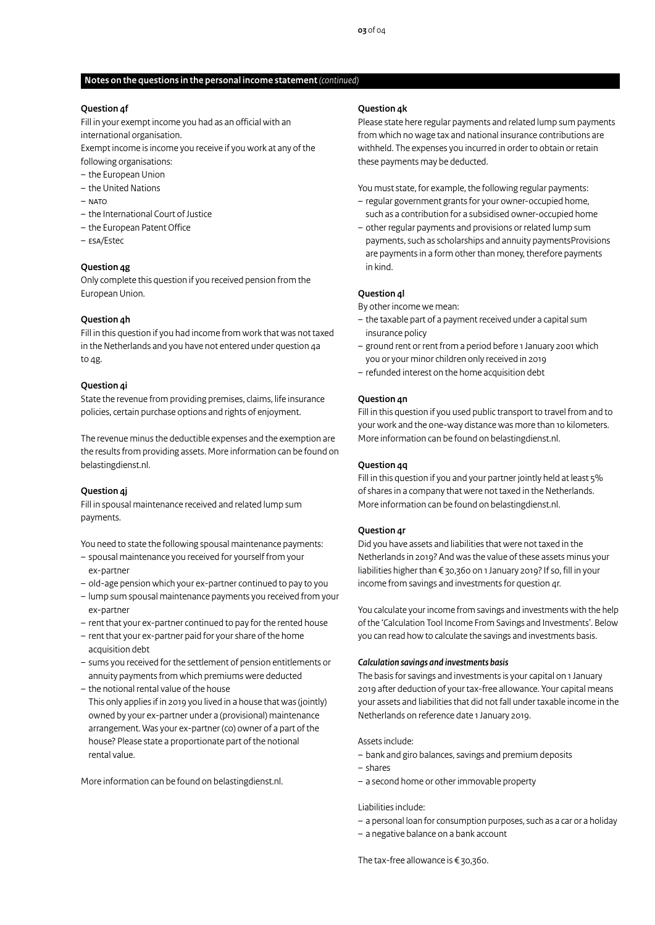## **Notes on the questions in the personal income statement** *(continued)*

### **Question 4f**

Fill in your exempt income you had as an official with an international organisation.

Exempt income is income you receive if you work at any of the following organisations:

- the European Union
- the United Nations
- $-$  NATO
- the International Court of Justice
- the European Patent Office
- ESA/Estec

# **Question 4g**

Only complete this question if you received pension from the European Union.

## **Question 4h**

Fill in this question if you had income from work that was not taxed in the Netherlands and you have not entered under question 4a to 4g.

# **Question 4i**

State the revenue from providing premises, claims, life insurance policies, certain purchase options and rights of enjoyment.

The revenue minus the deductible expenses and the exemption are the results from providing assets. More information can be found on belastingdienst.nl.

# **Question 4j**

Fill in spousal maintenance received and related lump sum payments.

You need to state the following spousal maintenance payments:

- spousal maintenance you received for yourself from your ex-partner
- old-age pension which your ex-partner continued to pay to you
- lump sum spousal maintenance payments you received from your ex-partner
- rent that your ex-partner continued to pay for the rented house
- rent that your ex-partner paid for your share of the home acquisition debt
- sums you received for the settlement of pension entitlements or annuity payments from which premiums were deducted
- the notional rental value of the house

This only applies if in 2019 you lived in a house that was (jointly) owned by your ex-partner under a (provisional) maintenance arrangement. Was your ex-partner (co) owner of a part of the house? Please state a proportionate part of the notional rental value.

More information can be found on belastingdienst.nl.

### **Question 4k**

Please state here regular payments and related lump sum payments from which no wage tax and national insurance contributions are withheld. The expenses you incurred in order to obtain or retain these payments may be deducted.

You must state, for example, the following regular payments:

- regular government grants for your owner-occupied home, such as a contribution for a subsidised owner-occupied home
- other regular payments and provisions or related lump sum payments, such as scholarships and annuity paymentsProvisions are payments in a form other than money, therefore payments in kind.

# **Question 4l**

By other income we mean:

- the taxable part of a payment received under a capital sum insurance policy
- ground rent or rent from a period before 1 January 2001 which you or your minor children only received in 2019
- refunded interest on the home acquisition debt

#### **Question 4n**

Fill in this question if you used public transport to travel from and to your work and the one-way distance was more than 10 kilometers. More information can be found on belastingdienst.nl.

#### **Question 4q**

Fill in this question if you and your partner jointly held at least 5% ofshares in a company that were not taxed in the Netherlands. More information can be found on belastingdienst.nl.

# **Question 4r**

Did you have assets and liabilities that were not taxed in the Netherlands in 2019? And was the value of these assets minus your liabilities higher than € 30,360 on 1 January 2019? If so, fill in your income from savings and investments for question 4r.

You calculate your income from savings and investments with the help of the 'Calculation Tool Income From Savings and Investments'. Below you can read how to calculate the savings and investments basis.

#### *Calculation savings and investments basis*

The basis for savings and investments is your capital on 1 January 2019 after deduction of your tax-free allowance. Your capital means your assets and liabilities that did not fall under taxable income in the Netherlands on reference date 1 January 2019.

Assets include:

- bank and giro balances, savings and premium deposits
- shares
- a second home or other immovable property

#### Liabilities include:

- a personal loan for consumption purposes, such as a car or a holiday
- a negative balance on a bank account

The tax-free allowance is € 30,360.